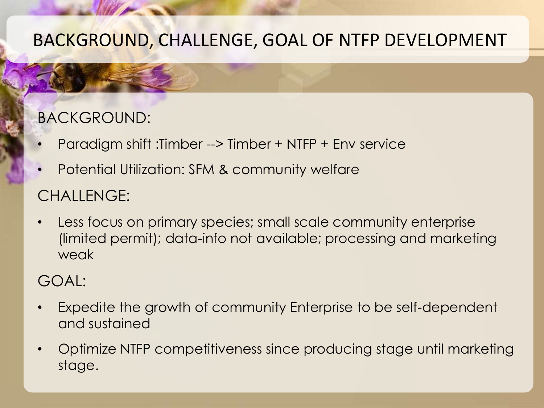# BACKGROUND, CHALLENGE, GOAL OF NTFP DEVELOPMENT

### BACKGROUND:

- Paradigm shift :Timber --> Timber + NTFP + Env service
- Potential Utilization: SFM & community welfare

# CHALLENGE:

• Less focus on primary species; small scale community enterprise (limited permit); data-info not available; processing and marketing weak

# GOAL:

- Expedite the growth of community Enterprise to be self-dependent and sustained
- Optimize NTFP competitiveness since producing stage until marketing stage.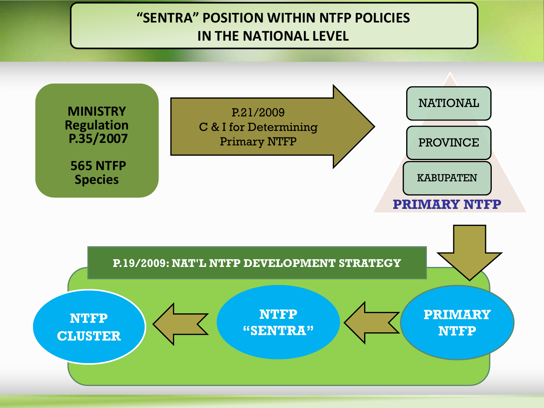#### **"SENTRA" POSITION WITHIN NTFP POLICIES IN THE NATIONAL LEVEL**

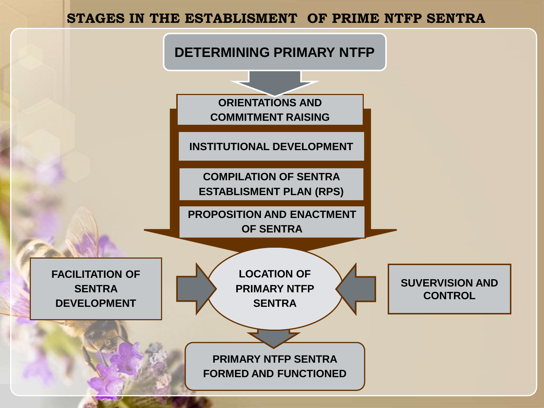#### **STAGES IN THE ESTABLISMENT OF PRIME NTFP SENTRA**

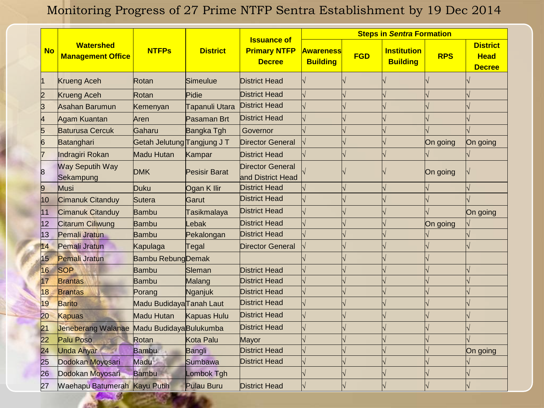#### Monitoring Progress of 27 Prime NTFP Sentra Establishment by 19 Dec 2014

|                 |                                              |                             |                   |                                                            | <b>Steps in Sentra Formation</b>    |            |                                       |            |                                                 |
|-----------------|----------------------------------------------|-----------------------------|-------------------|------------------------------------------------------------|-------------------------------------|------------|---------------------------------------|------------|-------------------------------------------------|
| <b>No</b>       | <b>Watershed</b><br><b>Management Office</b> | <b>NTFPs</b>                | <b>District</b>   | <b>Issuance of</b><br><b>Primary NTFP</b><br><b>Decree</b> | <b>Awareness</b><br><b>Building</b> | <b>FGD</b> | <b>Institution</b><br><b>Building</b> | <b>RPS</b> | <b>District</b><br><b>Head</b><br><b>Decree</b> |
| 1               | Krueng Aceh                                  | Rotan                       | Simeulue          | <b>District Head</b>                                       |                                     |            |                                       |            |                                                 |
| $\overline{2}$  | Krueng Aceh                                  | Rotan                       | Pidie             | <b>District Head</b>                                       |                                     |            |                                       |            |                                                 |
| $\overline{3}$  | Asahan Barumun                               | Kemenyan                    | Tapanuli Utara    | <b>District Head</b>                                       |                                     |            |                                       |            |                                                 |
| 4               | Agam Kuantan                                 | Aren                        | Pasaman Brt       | <b>District Head</b>                                       |                                     |            |                                       |            |                                                 |
| 5               | <b>Baturusa Cercuk</b>                       | Gaharu                      | Bangka Tgh        | Governor                                                   |                                     |            |                                       |            |                                                 |
| 6               | Batanghari                                   | Getah Jelutung Tangjung J T |                   | <b>Director General</b>                                    |                                     |            |                                       | On going   | On going                                        |
| 7               | Indragiri Rokan                              | Madu Hutan                  | Kampar            | <b>District Head</b>                                       |                                     |            |                                       |            |                                                 |
| 8               | <b>Way Seputih Way</b><br>Sekampung          | <b>DMK</b>                  | Pesisir Barat     | <b>Director General</b><br>and District Head               |                                     |            |                                       | On going   |                                                 |
| 9               | Musi                                         | Duku                        | Ogan K Ilir       | <b>District Head</b>                                       |                                     |            |                                       |            |                                                 |
| 10              | Cimanuk Citanduy                             | Sutera                      | Garut             | <b>District Head</b>                                       |                                     |            |                                       |            |                                                 |
| 11              | <b>Cimanuk Citanduy</b>                      | Bambu                       | Tasikmalaya       | <b>District Head</b>                                       |                                     |            |                                       |            | On going                                        |
| 12              | <b>Citarum Ciliwung</b>                      | Bambu                       | Lebak             | <b>District Head</b>                                       |                                     |            |                                       | On going   |                                                 |
| 13              | Pemali Jratun                                | Bambu                       | Pekalongan        | <b>District Head</b>                                       |                                     |            |                                       |            |                                                 |
| 14              | Pemali Jratun                                | Kapulaga                    | Tegal             | <b>Director General</b>                                    |                                     |            |                                       |            |                                                 |
| 15              | Pemali Jratun                                | <b>Bambu Rebung Demak</b>   |                   |                                                            |                                     |            |                                       |            |                                                 |
| 16              | <b>SOP</b>                                   | <b>Bambu</b>                | Sleman            | <b>District Head</b>                                       |                                     |            |                                       |            |                                                 |
| 17              | <b>Brantas</b>                               | <b>Bambu</b>                | Malang            | <b>District Head</b>                                       |                                     |            |                                       |            |                                                 |
| 18              | <b>Brantas</b>                               | Porang                      | Nganjuk           | <b>District Head</b>                                       |                                     |            |                                       |            |                                                 |
| 19              | <b>Barito</b>                                | Madu BudidayaTanah Laut     |                   | <b>District Head</b>                                       |                                     |            |                                       |            |                                                 |
| 20              | <b>Kapuas</b>                                | Madu Hutan                  | Kapuas Hulu       | <b>District Head</b>                                       |                                     |            |                                       |            |                                                 |
| 21              | Jeneberang Walanae                           | Madu Budidaya Bulukumba     |                   | <b>District Head</b>                                       |                                     |            |                                       |            |                                                 |
| 22              | <b>Palu Poso</b>                             | Rotan                       | Kota Palu         | Mayor                                                      |                                     |            |                                       |            |                                                 |
| $\overline{24}$ | <b>Unda Anyar</b>                            | <b>Bambu</b>                | Bangli            | <b>District Head</b>                                       |                                     |            |                                       |            | On going                                        |
| 25              | Dodokan Moyosari                             | Madu                        | Sumbawa           | <b>District Head</b>                                       |                                     |            |                                       |            |                                                 |
| 26              | Dodokan Moyosari                             | <b>Bambu</b>                | Lombok Tgh        |                                                            |                                     |            |                                       |            |                                                 |
| 27              | Waehapu Batumerah Kayu Putih                 |                             | <b>Pulau Buru</b> | <b>District Head</b>                                       |                                     |            |                                       |            |                                                 |